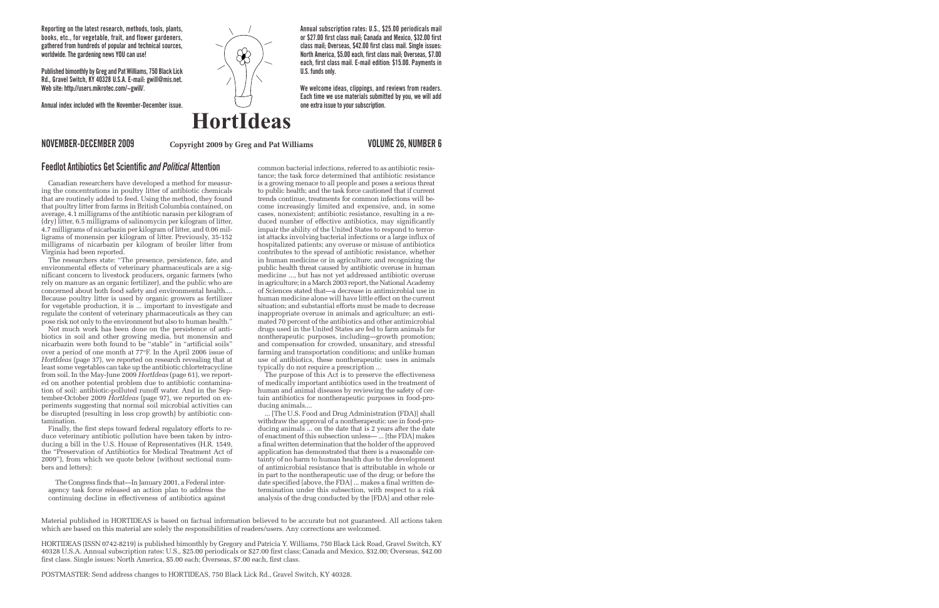**Reporting on the latest research, methods, tools, plants, books, etc., for vegetable, fruit, and flower gardeners, gathered from hundreds of popular and technical sources, worldwide. The gardening news YOU can use!**

**Published bimonthly by Greg and Pat Williams, 750 Black Lick Rd., Gravel Switch, KY 40328 U.S.A. E-mail: gwill@mis.net. Web site: http://users.mikrotec.com/~gwill/.**

**Annual index included with the November-December issue.**



**Annual subscription rates: U.S., \$25.00 periodicals mail or \$27.00 first class mail; Canada and Mexico, \$32.00 first class mail; Overseas, \$42.00 first class mail. Single issues: North America, \$5.00 each, first class mail; Overseas, \$7.00 each, first class mail. E-mail edition: \$15.00. Payments in U.S. funds only.** 

**We welcome ideas, clippings, and reviews from readers. Each time we use materials submitted by you, we will add one extra issue to your subscription.**

### **Copyright 2009 by Greg and Pat Williams NOVEMBER-DECEMBER 2009 VOLUME 26, NUMBER 6**

## **Feedlot Antibiotics Get Scientific** *and Political* **Attention**

Canadian researchers have developed a method for measuring the concentrations in poultry litter of antibiotic chemicals that are routinely added to feed. Using the method, they found that poultry litter from farms in British Columbia contained, on average, 4.1 milligrams of the antibiotic narasin per kilogram of (dry) litter, 6.5 milligrams of salinomycin per kilogram of litter, 4.7 milligrams of nicarbazin per kilogram of litter, and 0.06 milligrams of monensin per kilogram of litter. Previously, 35-152 milligrams of nicarbazin per kilogram of broiler litter from Virginia had been reported.

The researchers state: "The presence, persistence, fate, and environmental effects of veterinary pharmaceuticals are a significant concern to livestock producers, organic farmers (who rely on manure as an organic fertilizer), and the public who are concerned about both food safety and environmental health.... Because poultry litter is used by organic growers as fertilizer for vegetable production, it is ... important to investigate and regulate the content of veterinary pharmaceuticals as they can pose risk not only to the environment but also to human health."

Not much work has been done on the persistence of antibiotics in soil and other growing media, but monensin and nicarbazin were both found to be "stable" in "artificial soils" over a period of one month at 77°F. In the April 2006 issue of *HortIdeas* (page 37), we reported on research revealing that at least some vegetables can take up the antibiotic chlortetracycline from soil. In the May-June 2009 *HortIdeas* (page 61), we reported on another potential problem due to antibiotic contamination of soil: antibiotic-polluted runoff water. And in the September-October 2009 *HortIdeas* (page 97), we reported on experiments suggesting that normal soil microbial activities can be disrupted (resulting in less crop growth) by antibiotic contamination.

Finally, the first steps toward federal regulatory efforts to reduce veterinary antibiotic pollution have been taken by introducing a bill in the U.S. House of Representatives (H.R. 1549, the "Preservation of Antibiotics for Medical Treatment Act of 2009"), from which we quote below (without sectional numbers and letters):

The Congress finds that—In January 2001, a Federal interagency task force released an action plan to address the continuing decline in effectiveness of antibiotics against

common bacterial infections, referred to as antibiotic resistance; the task force determined that antibiotic resistance is a growing menace to all people and poses a serious threat to public health; and the task force cautioned that if current trends continue, treatments for common infections will become increasingly limited and expensive, and, in some cases, nonexistent; antibiotic resistance, resulting in a reduced number of effective antibiotics, may significantly impair the ability of the United States to respond to terrorist attacks involving bacterial infections or a large influx of hospitalized patients; any overuse or misuse of antibiotics contributes to the spread of antibiotic resistance, whether in human medicine or in agriculture; and recognizing the public health threat caused by antibiotic overuse in human medicine ..., but has not yet addressed antibiotic overuse in agriculture; in a March 2003 report, the National Academy of Sciences stated that—a decrease in antimicrobial use in human medicine alone will have little effect on the current situation; and substantial efforts must be made to decrease inappropriate overuse in animals and agriculture; an estimated 70 percent of the antibiotics and other antimicrobial drugs used in the United States are fed to farm animals for nontherapeutic purposes, including—growth promotion; and compensation for crowded, unsanitary, and stressful farming and transportation conditions; and unlike human use of antibiotics, these nontherapeutic uses in animals typically do not require a prescription ...

The purpose of this Act is to preserve the effectiveness of medically important antibiotics used in the treatment of human and animal diseases by reviewing the safety of certain antibiotics for nontherapeutic purposes in food-producing animals....

... [The U.S. Food and Drug Administration (FDA)] shall withdraw the approval of a nontherapeutic use in food-producing animals ... on the date that is 2 years after the date of enactment of this subsection unless— ... [the FDA] makes a final written determination that the holder of the approved application has demonstrated that there is a reasonable certainty of no harm to human health due to the development of antimicrobial resistance that is attributable in whole or in part to the nontherapeutic use of the drug; or before the date specified [above, the FDA] ... makes a final written determination under this subsection, with respect to a risk analysis of the drug conducted by the [FDA] and other rele-

Material published in HORTIDEAS is based on factual information believed to be accurate but not guaranteed. All actions taken which are based on this material are solely the responsibilities of readers/users. Any corrections are welcomed.

HORTIDEAS (ISSN 0742-8219) is published bimonthly by Gregory and Patricia Y. Williams, 750 Black Lick Road, Gravel Switch, KY 40328 U.S.A. Annual subscription rates: U.S., \$25.00 periodicals or \$27.00 first class; Canada and Mexico, \$32.00; Overseas, \$42.00 first class. Single issues: North America, \$5.00 each; Overseas, \$7.00 each, first class.

POSTMASTER: Send address changes to HORTIDEAS, 750 Black Lick Rd., Gravel Switch, KY 40328.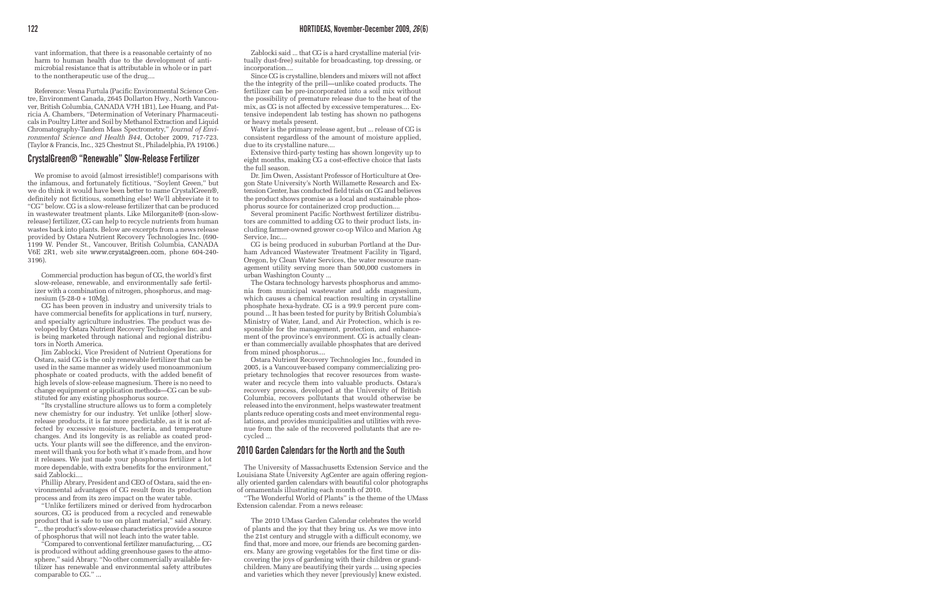vant information, that there is a reasonable certainty of no harm to human health due to the development of antimicrobial resistance that is attributable in whole or in part to the nontherapeutic use of the drug....

Reference: Vesna Furtula (Pacific Environmental Science Centre, Environment Canada, 2645 Dollarton Hwy., North Vancouver, British Columbia, CANADA V7H 1B1), Lee Huang, and Patricia A. Chambers, "Determination of Veterinary Pharmaceuticals in Poultry Litter and Soil by Methanol Extraction and Liquid Chromatography-Tandem Mass Spectrometry," *Journal of Environmental Science and Health B44*, October 2009, 717-723. (Taylor & Francis, Inc., 325 Chestnut St., Philadelphia, PA 19106.)

### **CrystalGreen® "Renewable" Slow-Release Fertilizer**

We promise to avoid (almost irresistible!) comparisons with the infamous, and fortunately fictitious, "Soylent Green," but we do think it would have been better to name CrystalGreen®, definitely not fictitious, something else! We'll abbreviate it to "CG" below. CG is a slow-release fertilizer that can be produced in wastewater treatment plants. Like Milorganite® (non-slowrelease) fertilizer, CG can help to recycle nutrients from human wastes back into plants. Below are excerpts from a news release provided by Ostara Nutrient Recovery Technologies Inc. (690- 1199 W. Pender St., Vancouver, British Columbia, CANADA V6E 2R1, web site www.crystalgreen.com, phone 604-240- 3196).

Commercial production has begun of CG, the world's first slow-release, renewable, and environmentally safe fertilizer with a combination of nitrogen, phosphorus, and magnesium (5-28-0 + 10Mg).

CG has been proven in industry and university trials to have commercial benefits for applications in turf, nursery, and specialty agriculture industries. The product was developed by Ostara Nutrient Recovery Technologies Inc. and is being marketed through national and regional distributors in North America.

Jim Zablocki, Vice President of Nutrient Operations for Ostara, said CG is the only renewable fertilizer that can be used in the same manner as widely used monoammonium phosphate or coated products, with the added benefit of high levels of slow-release magnesium. There is no need to change equipment or application methods—CG can be substituted for any existing phosphorus source.

"Its crystalline structure allows us to form a completely new chemistry for our industry. Yet unlike [other] slowrelease products, it is far more predictable, as it is not affected by excessive moisture, bacteria, and temperature changes. And its longevity is as reliable as coated products. Your plants will see the difference, and the environment will thank you for both what it's made from, and how it releases. We just made your phosphorus fertilizer a lot more dependable, with extra benefits for the environment," said Zablocki....

Phillip Abrary, President and CEO of Ostara, said the environmental advantages of CG result from its production process and from its zero impact on the water table.

"Unlike fertilizers mined or derived from hydrocarbon sources, CG is produced from a recycled and renewable product that is safe to use on plant material," said Abrary. "... the product's slow-release characteristics provide a source of phosphorus that will not leach into the water table.

"Compared to conventional fertilizer manufacturing, ... CG is produced without adding greenhouse gases to the atmosphere," said Abrary. "No other commercially available fertilizer has renewable and environmental safety attributes comparable to CG." ...

Zablocki said ... that CG is a hard crystalline material (virtually dust-free) suitable for broadcasting, top dressing, or incorporation....

Since CG is crystalline, blenders and mixers will not affect the the integrity of the prill—unlike coated products. The fertilizer can be pre-incorporated into a soil mix without the possibility of premature release due to the heat of the mix, as CG is not affected by excessive temperatures.... Extensive independent lab testing has shown no pathogens or heavy metals present.

Water is the primary release agent, but ... release of CG is consistent regardless of the amount of moisture applied, due to its crystalline nature....

Extensive third-party testing has shown longevity up to eight months, making CG a cost-effective choice that lasts the full season.

Dr. Jim Owen, Assistant Professor of Horticulture at Oregon State University's North Willamette Research and Extension Center, has conducted field trials on CG and believes the product shows promise as a local and sustainable phosphorus source for containerized crop production....

Several prominent Pacific Northwest fertilizer distributors are committed to adding CG to their product lists, including farmer-owned grower co-op Wilco and Marion Ag Service, Inc....

CG is being produced in suburban Portland at the Durham Advanced Wastewater Treatment Facility in Tigard, Oregon, by Clean Water Services, the water resource management utility serving more than 500,000 customers in urban Washington County ...

The Ostara technology harvests phosphorus and ammonia from municipal wastewater and adds magnesium, which causes a chemical reaction resulting in crystalline phosphate hexa-hydrate. CG is a 99.9 percent pure compound ... It has been tested for purity by British Columbia's Ministry of Water, Land, and Air Protection, which is responsible for the management, protection, and enhancement of the province's environment. CG is actually cleaner than commercially available phosphates that are derived from mined phosphorus....

Ostara Nutrient Recovery Technologies Inc., founded in 2005, is a Vancouver-based company commercializing proprietary technologies that recover resources from wastewater and recycle them into valuable products. Ostara's recovery process, developed at the University of British Columbia, recovers pollutants that would otherwise be released into the environment, helps wastewater treatment plants reduce operating costs and meet environmental regulations, and provides municipalities and utilities with revenue from the sale of the recovered pollutants that are recycled ...

## **2010 Garden Calendars for the North and the South**

The University of Massachusetts Extension Service and the Louisiana State University AgCenter are again offering regionally oriented garden calendars with beautiful color photographs of ornamentals illustrating each month of 2010.

"The Wonderful World of Plants" is the theme of the UMass Extension calendar. From a news release:

The 2010 UMass Garden Calendar celebrates the world of plants and the joy that they bring us. As we move into the 21st century and struggle with a difficult economy, we find that, more and more, our friends are becoming gardeners. Many are growing vegetables for the first time or discovering the joys of gardening with their children or grandchildren. Many are beautifying their yards ... using species and varieties which they never [previously] knew existed.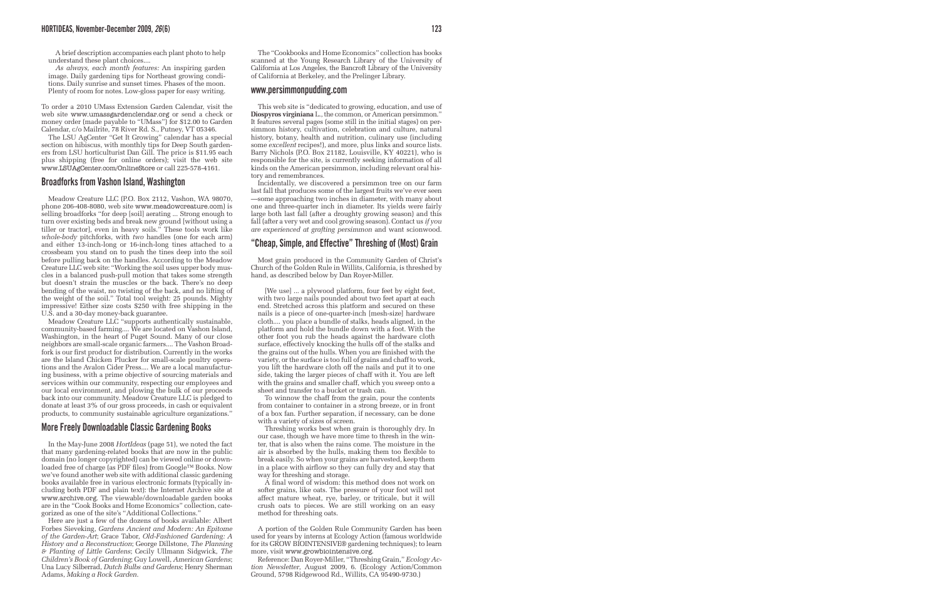A brief description accompanies each plant photo to help understand these plant choices....

*As always, each month features:* An inspiring garden image. Daily gardening tips for Northeast growing conditions. Daily sunrise and sunset times. Phases of the moon. Plenty of room for notes. Low-gloss paper for easy writing.

To order a 2010 UMass Extension Garden Calendar, visit the web site www.umassgardenclendar.org or send a check or money order (made payable to "UMass") for \$12.00 to Garden Calendar, c/o Mailrite, 78 River Rd. S., Putney, VT 05346.

The LSU AgCenter "Get It Growing" calendar has a special section on hibiscus, with monthly tips for Deep South gardeners from LSU horticulturist Dan Gill. The price is \$11.95 each plus shipping (free for online orders); visit the web site www.LSUAgCenter.com/OnlineStore or call 225-578-4161.

### **Broadforks from Vashon Island, Washington**

Meadow Creature LLC (P.O. Box 2112, Vashon, WA 98070, phone 206-408-8080, web site www.meadowcreature.com) is selling broadforks "for deep [soil] aerating ... Strong enough to turn over existing beds and break new ground [without using a tiller or tractor], even in heavy soils." These tools work like *whole-body* pitchforks, with *two* handles (one for each arm) and either 13-inch-long or 16-inch-long tines attached to a crossbeam you stand on to push the tines deep into the soil before pulling back on the handles. According to the Meadow Creature LLC web site: "Working the soil uses upper body muscles in a balanced push-pull motion that takes some strength but doesn't strain the muscles or the back. There's no deep bending of the waist, no twisting of the back, and no lifting of the weight of the soil." Total tool weight: 25 pounds. Mighty impressive! Either size costs \$250 with free shipping in the U.S. and a 30-day money-back guarantee.

Meadow Creature LLC "supports authentically sustainable, community-based farming.... We are located on Vashon Island, Washington, in the heart of Puget Sound. Many of our close neighbors are small-scale organic farmers.... The Vashon Broadfork is our first product for distribution. Currently in the works are the Island Chicken Plucker for small-scale poultry operations and the Avalon Cider Press.... We are a local manufacturing business, with a prime objective of sourcing materials and services within our community, respecting our employees and our local environment, and plowing the bulk of our proceeds back into our community. Meadow Creature LLC is pledged to donate at least 3% of our gross proceeds, in cash or equivalent products, to community sustainable agriculture organizations."

## **More Freely Downloadable Classic Gardening Books**

In the May-June 2008 *HortIdeas* (page 51), we noted the fact that many gardening-related books that are now in the public domain (no longer copyrighted) can be viewed online or downloaded free of charge (as PDF files) from Google™ Books. Now we've found another web site with additional classic gardening books available free in various electronic formats (typically including both PDF and plain text): the Internet Archive site at www.archive.org. The viewable/downloadable garden books are in the "Cook Books and Home Economics" collection, categorized as one of the site's "Additional Collections."

Here are just a few of the dozens of books available: Albert Forbes Sieveking, *Gardens Ancient and Modern: An Epitome of the Garden-Art*; Grace Tabor, *Old-Fashioned Gardening: A History and a Reconstruction*; George Dillstone, *The Planning & Planting of Little Gardens*; Cecily Ullmann Sidgwick, *The Children's Book of Gardening*; Guy Lowell, *American Gardens*; Una Lucy Silberrad, *Dutch Bulbs and Gardens*; Henry Sherman Adams, *Making a Rock Garden*.

The "Cookbooks and Home Economics" collection has books scanned at the Young Research Library of the University of California at Los Angeles, the Bancroft Library of the University of California at Berkeley, and the Prelinger Library.

### **www.persimmonpudding.com**

This web site is "dedicated to growing, education, and use of **Diospyros virginiana** L., the common, or American persimmon." It features several pages (some still in the initial stages) on persimmon history, cultivation, celebration and culture, natural history, botany, health and nutrition, culinary use (including some *excellent* recipes!), and more, plus links and source lists. Barry Nichols (P.O. Box 21182, Louisville, KY 40221), who is responsible for the site, is currently seeking information of all kinds on the American persimmon, including relevant oral history and remembrances.

Incidentally, we discovered a persimmon tree on our farm last fall that produces some of the largest fruits we've ever seen —some approaching two inches in diameter, with many about one and three-quarter inch in diameter. Its yields were fairly large both last fall (after a droughty growing season) and this fall (after a very wet and cool growing season). Contact us *if you are experienced at grafting persimmon* and want scionwood.

# **"Cheap, Simple, and Effective" Threshing of (Most) Grain**

Most grain produced in the Community Garden of Christ's Church of the Golden Rule in Willits, California, is threshed by hand, as described below by Dan Royer-Miller.

[We use] ... a plywood platform, four feet by eight feet, with two large nails pounded about two feet apart at each end. Stretched across this platform and secured on these nails is a piece of one-quarter-inch [mesh-size] hardware cloth.... you place a bundle of stalks, heads aligned, in the platform and hold the bundle down with a foot. With the other foot you rub the heads against the hardware cloth surface, effectively knocking the hulls off of the stalks and the grains out of the hulls. When you are finished with the variety, or the surface is too full of grains and chaff to work, you lift the hardware cloth off the nails and put it to one side, taking the larger pieces of chaff with it. You are left with the grains and smaller chaff, which you sweep onto a sheet and transfer to a bucket or trash can.

To winnow the chaff from the grain, pour the contents from container to container in a strong breeze, or in front of a box fan. Further separation, if necessary, can be done with a variety of sizes of screen.

Threshing works best when grain is thoroughly dry. In our case, though we have more time to thresh in the winter, that is also when the rains come. The moisture in the air is absorbed by the hulls, making them too flexible to break easily. So when your grains are harvested, keep them in a place with airflow so they can fully dry and stay that way for threshing and storage.

A final word of wisdom: this method does not work on softer grains, like oats. The pressure of your foot will not affect mature wheat, rye, barley, or triticale, but it will crush oats to pieces. We are still working on an easy method for threshing oats.

A portion of the Golden Rule Community Garden has been used for years by interns at Ecology Action (famous worldwide for its GROW BIOINTENSIVE® gardening techniques); to learn more, visit www.growbiointensive.org.

Reference: Dan Royer-Miller, "Threshing Grain," *Ecology Action Newsletter*, August 2009, 6. (Ecology Action/Common Ground, 5798 Ridgewood Rd., Willits, CA 95490-9730.)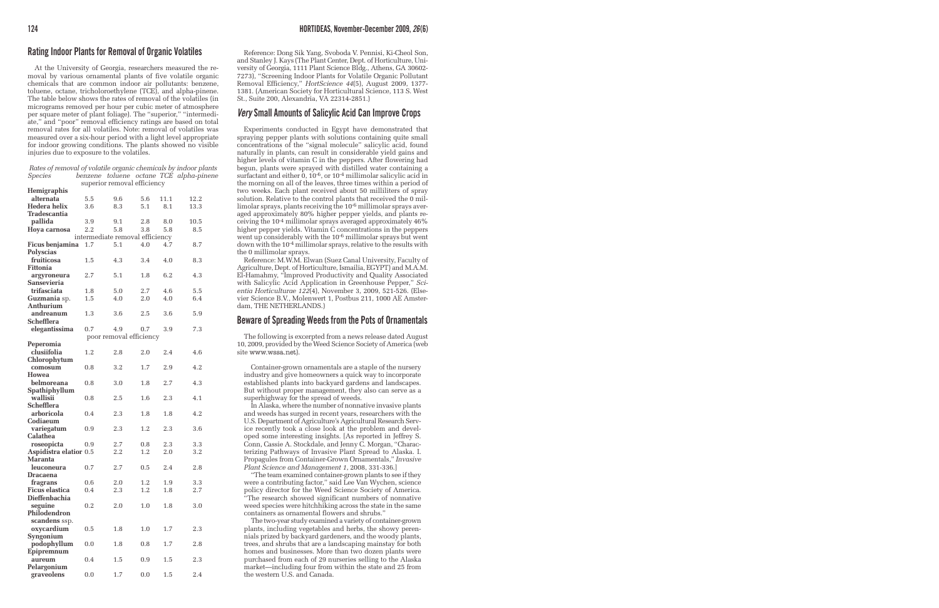# **Rating Indoor Plants for Removal of Organic Volatiles**

At the University of Georgia, researchers measured the removal by various ornamental plants of five volatile organic chemicals that are common indoor air pollutants: benzene, toluene, octane, tricholoroethylene (TCE), and alpha-pinene. The table below shows the rates of removal of the volatiles (in micrograms removed per hour per cubic meter of atmosphere per square meter of plant foliage). The "superior," "intermediate," and "poor" removal efficiency ratings are based on total removal rates for all volatiles. Note: removal of volatiles was measured over a six-hour period with a light level appropriate for indoor growing conditions. The plants showed no visible injuries due to exposure to the volatiles.

#### *Rates of removal of volatile organic chemicals by indoor plants Species benzene toluene octane TCE alpha-pinene* superior removal efficiency

| <b>Hemigraphis</b>                   |                                 |     |         |      |      |  |  |
|--------------------------------------|---------------------------------|-----|---------|------|------|--|--|
| alternata                            | 5.5                             | 9.6 | 5.6     | 11.1 | 12.2 |  |  |
| Hedera helix                         | 3.6                             | 8.3 | 5.1     | 8.1  | 13.3 |  |  |
| Tradescantia                         |                                 |     |         |      |      |  |  |
| pallida                              | 3.9                             | 9.1 | 2.8     | 8.0  | 10.5 |  |  |
| Hoya carnosa                         | 2.2                             | 5.8 | 3.8     | 5.8  | 8.5  |  |  |
|                                      | intermediate removal efficiency |     |         |      |      |  |  |
| Ficus benjamina                      | 1.7                             | 5.1 | 4.0     | 4.7  | 8.7  |  |  |
| <b>Polyscias</b>                     |                                 |     |         |      |      |  |  |
| fruiticosa                           | 1.5                             | 4.3 | 3.4     | 4.0  | 8.3  |  |  |
| Fittonia                             |                                 |     |         |      |      |  |  |
| argyroneura                          | 2.7                             | 5.1 | 1.8     | 6.2  | 4.3  |  |  |
| Sansevieria                          |                                 |     |         |      |      |  |  |
| trifasciata                          | 1.8                             | 5.0 | 2.7     | 4.6  | 5.5  |  |  |
| <b>Guzmania</b> sp.                  | 1.5                             | 4.0 | 2.0     | 4.0  | 6.4  |  |  |
| Anthurium                            |                                 |     |         |      |      |  |  |
| andreanum                            | 1.3                             | 3.6 | 2.5     | 3.6  | 5.9  |  |  |
| Schefflera                           |                                 |     |         |      |      |  |  |
| elegantissima                        | 0.7                             | 4.9 | 0.7     | 3.9  | 7.3  |  |  |
|                                      |                                 |     |         |      |      |  |  |
| poor removal efficiency<br>Peperomia |                                 |     |         |      |      |  |  |
| clusiifolia                          | 1.2                             | 2.8 | 2.0     | 2.4  | 4.6  |  |  |
| Chlorophytum                         |                                 |     |         |      |      |  |  |
| comosum                              | 0.8                             | 3.2 | 1.7     | 2.9  | 4.2  |  |  |
| Howea                                |                                 |     |         |      |      |  |  |
| belmoreana                           | 0.8                             | 3.0 | 1.8     | 2.7  | 4.3  |  |  |
| Spathiphyllum                        |                                 |     |         |      |      |  |  |
| wallisii                             | 0.8                             | 2.5 | 1.6     | 2.3  | 4.1  |  |  |
| Schefflera                           |                                 |     |         |      |      |  |  |
| arboricola                           | 0.4                             | 2.3 | 1.8     | 1.8  | 4.2  |  |  |
| Codiaeum                             |                                 |     |         |      |      |  |  |
| variegatum                           | 0.9                             | 2.3 | 1.2     | 2.3  | 3.6  |  |  |
| <b>Calathea</b>                      |                                 |     |         |      |      |  |  |
| roseopicta                           | 0.9                             | 2.7 | $0.8\,$ | 2.3  | 3.3  |  |  |
| Aspidistra elatior 0.5               |                                 | 2.2 | 1.2     | 2.0  | 3.2  |  |  |
| Maranta                              |                                 |     |         |      |      |  |  |
| leuconeura                           | 0.7                             | 2.7 | 0.5     | 2.4  | 2.8  |  |  |
| Dracaena                             |                                 |     |         |      |      |  |  |
| fragrans                             | 0.6                             | 2.0 | 1.2     | 1.9  | 3.3  |  |  |
| Ficus elastica                       | 0.4                             | 2.3 | 1.2     | 1.8  | 2.7  |  |  |
| Dieffenbachia                        |                                 |     |         |      |      |  |  |
| seguine                              | 0.2                             | 2.0 | 1.0     | 1.8  | 3.0  |  |  |
| Philodendron                         |                                 |     |         |      |      |  |  |
| scandens ssp.                        |                                 |     |         |      |      |  |  |
| oxycardium                           | 0.5                             | 1.8 | $1.0\,$ | 1.7  | 2.3  |  |  |
| Syngonium                            |                                 |     |         |      |      |  |  |
| podophyllum                          | 0.0                             | 1.8 | 0.8     | 1.7  | 2.8  |  |  |
| Epipremnum                           |                                 |     |         |      |      |  |  |
| aureum                               | 0.4                             | 1.5 | 0.9     | 1.5  | 2.3  |  |  |
| Pelargonium                          |                                 |     |         |      |      |  |  |
| graveolens                           | 0.0                             | 1.7 | 0.0     | 1.5  | 2.4  |  |  |

Reference: Dong Sik Yang, Svoboda V. Pennisi, Ki-Cheol Son, and Stanley J. Kays (The Plant Center, Dept. of Horticulture, University of Georgia, 1111 Plant Science Bldg., Athens, GA 30602- 7273), "Screening Indoor Plants for Volatile Organic Pollutant Removal Efficiency," *HortScience 44*(5), August 2009, 1377- 1381. (American Society for Horticultural Science, 113 S. West St., Suite 200, Alexandria, VA 22314-2851.)

# *Very* **Small Amounts of Salicylic Acid Can Improve Crops**

Experiments conducted in Egypt have demonstrated that spraying pepper plants with solutions containing quite small concentrations of the "signal molecule" salicylic acid, found naturally in plants, can result in considerable yield gains and higher levels of vitamin C in the peppers. After flowering had begun, plants were sprayed with distilled water containing a surfactant and either 0, 10-6, or 10-4 millimolar salicylic acid in the morning on all of the leaves, three times within a period of two weeks. Each plant received about 50 milliliters of spray solution. Relative to the control plants that received the 0 millimolar sprays, plants receiving the 10-6 millimolar sprays averaged approximately 80% higher pepper yields, and plants receiving the 10-4 millimolar sprays averaged approximately 46% higher pepper yields. Vitamin C concentrations in the peppers went up considerably with the 10-6 millimolar sprays but went down with the 10-4 millimolar sprays, relative to the results with the 0 millimolar sprays.

Reference: M.W.M. Elwan (Suez Canal University, Faculty of Agriculture, Dept. of Horticulture, Ismailia, EGYPT) and M.A.M. El-Hamahmy, "Improved Productivity and Quality Associated with Salicylic Acid Application in Greenhouse Pepper," *Scientia Horticulturae 122*(4), November 3, 2009, 521-526. (Elsevier Science B.V., Molenwert 1, Postbus 211, 1000 AE Amsterdam, THE NETHERLANDS.)

# **Beware of Spreading Weeds from the Pots of Ornamentals**

The following is excerpted from a news release dated August 10, 2009, provided by the Weed Science Society of America (web site www.wssa.net).

Container-grown ornamentals are a staple of the nursery industry and give homeowners a quick way to incorporate established plants into backyard gardens and landscapes. But without proper management, they also can serve as a superhighway for the spread of weeds.

In Alaska, where the number of nonnative invasive plants and weeds has surged in recent years, researchers with the U.S. Department of Agriculture's Agricultural Research Service recently took a close look at the problem and developed some interesting insights. [As reported in Jeffrey S. Conn, Cassie A. Stockdale, and Jenny C. Morgan, "Characterizing Pathways of Invasive Plant Spread to Alaska. I. Propagules from Container-Grown Ornamentals," *Invasive Plant Science and Management 1*, 2008, 331-336.]

"The team examined container-grown plants to see if they were a contributing factor," said Lee Van Wychen, science policy director for the Weed Science Society of America. "The research showed significant numbers of nonnative weed species were hitchhiking across the state in the same containers as ornamental flowers and shrubs."

The two-year study examined a variety of container-grown plants, including vegetables and herbs, the showy perennials prized by backyard gardeners, and the woody plants, trees, and shrubs that are a landscaping mainstay for both homes and businesses. More than two dozen plants were purchased from each of 29 nurseries selling to the Alaska market—including four from within the state and 25 from the western U.S. and Canada.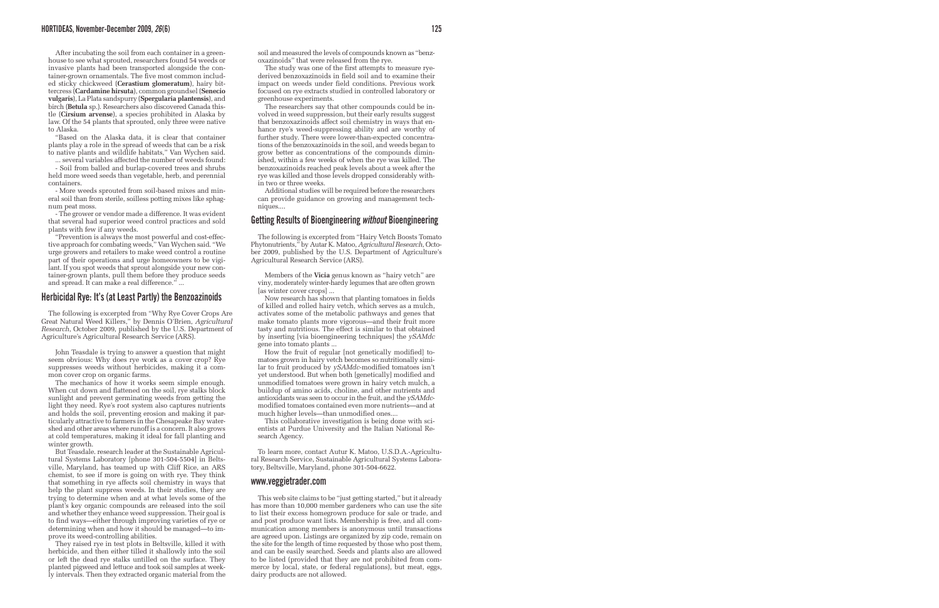After incubating the soil from each container in a greenhouse to see what sprouted, researchers found 54 weeds or invasive plants had been transported alongside the container-grown ornamentals. The five most common included sticky chickweed (**Cerastium glomeratum**), hairy bittercress (**Cardamine hirsuta**), common groundsel (**Senecio vulgaris**), La Plata sandspurry (**Spergularia plantensis**), and birch (**Betula** sp.). Researchers also discovered Canada thistle (**Cirsium arvense**), a species prohibited in Alaska by law. Of the 54 plants that sprouted, only three were native to Alaska.

"Based on the Alaska data, it is clear that container plants play a role in the spread of weeds that can be a risk to native plants and wildlife habitats," Van Wychen said.

... several variables affected the number of weeds found: - Soil from balled and burlap-covered trees and shrubs held more weed seeds than vegetable, herb, and perennial containers.

- More weeds sprouted from soil-based mixes and mineral soil than from sterile, soilless potting mixes like sphagnum peat moss.

- The grower or vendor made a difference. It was evident that several had superior weed control practices and sold plants with few if any weeds.

"Prevention is always the most powerful and cost-effective approach for combating weeds," Van Wychen said. "We urge growers and retailers to make weed control a routine part of their operations and urge homeowners to be vigilant. If you spot weeds that sprout alongside your new container-grown plants, pull them before they produce seeds and spread. It can make a real difference." ...

### **Herbicidal Rye: It's (at Least Partly) the Benzoazinoids**

The following is excerpted from "Why Rye Cover Crops Are Great Natural Weed Killers," by Dennis O'Brien, *Agricultural Research*, October 2009, published by the U.S. Department of Agriculture's Agricultural Research Service (ARS).

John Teasdale is trying to answer a question that might seem obvious: Why does rye work as a cover crop? Rye suppresses weeds without herbicides, making it a common cover crop on organic farms.

The mechanics of how it works seem simple enough. When cut down and flattened on the soil, rye stalks block sunlight and prevent germinating weeds from getting the light they need. Rye's root system also captures nutrients and holds the soil, preventing erosion and making it particularly attractive to farmers in the Chesapeake Bay watershed and other areas where runoff is a concern. It also grows at cold temperatures, making it ideal for fall planting and winter growth.

But Teasdale. research leader at the Sustainable Agricultural Systems Laboratory [phone 301-504-5504] in Beltsville, Maryland, has teamed up with Cliff Rice, an ARS chemist, to see if more is going on with rye. They think that something in rye affects soil chemistry in ways that help the plant suppress weeds. In their studies, they are trying to determine when and at what levels some of the plant's key organic compounds are released into the soil and whether they enhance weed suppression. Their goal is to find ways—either through improving varieties of rye or determining when and how it should be managed—to improve its weed-controlling abilities.

They raised rye in test plots in Beltsville, killed it with herbicide, and then either tilled it shallowly into the soil or left the dead rye stalks untilled on the surface. They planted pigweed and lettuce and took soil samples at weekly intervals. Then they extracted organic material from the

soil and measured the levels of compounds known as "benzoxazinoids" that were released from the rye.

The study was one of the first attempts to measure ryederived benzoxazinoids in field soil and to examine their impact on weeds under field conditions. Previous work focused on rye extracts studied in controlled laboratory or greenhouse experiments.

The researchers say that other compounds could be involved in weed suppression, but their early results suggest that benzoxazinoids affect soil chemistry in ways that enhance rye's weed-suppressing ability and are worthy of further study. There were lower-than-expected concentrations of the benzoxazinoids in the soil, and weeds began to grow better as concentrations of the compounds diminished, within a few weeks of when the rye was killed. The benzoxazinoids reached peak levels about a week after the rye was killed and those levels dropped considerably within two or three weeks.

Additional studies will be required before the researchers can provide guidance on growing and management techniques....

### **Getting Results of Bioengineering** *without* **Bioengineering**

The following is excerpted from "Hairy Vetch Boosts Tomato Phytonutrients," by Autar K. Matoo, *Agricultural Research*, October 2009, published by the U.S. Department of Agriculture's Agricultural Research Service (ARS).

Members of the **Vicia** genus known as "hairy vetch" are viny, moderately winter-hardy legumes that are often grown [as winter cover crops] ...

Now research has shown that planting tomatoes in fields of killed and rolled hairy vetch, which serves as a mulch, activates some of the metabolic pathways and genes that make tomato plants more vigorous—and their fruit more tasty and nutritious. The effect is similar to that obtained by inserting [via bioengineering techniques] the *ySAMdc* gene into tomato plants ...

How the fruit of regular [not genetically modified] tomatoes grown in hairy vetch becomes so nutritionally similar to fruit produced by *ySAMdc*-modified tomatoes isn't yet understood. But when both [genetically] modified and unmodified tomatoes were grown in hairy vetch mulch, a buildup of amino acids, choline, and other nutrients and antioxidants was seen to occur in the fruit, and the *ySAMdc*modified tomatoes contained even more nutrients—and at much higher levels—than unmodified ones....

This collaborative investigation is being done with scientists at Purdue University and the Italian National Research Agency.

To learn more, contact Autur K. Matoo, U.S.D.A.-Agricultural Research Service, Sustainable Agricultural Systems Laboratory, Beltsville, Maryland, phone 301-504-6622.

### **www.veggietrader.com**

This web site claims to be "just getting started," but it already has more than 10,000 member gardeners who can use the site to list their excess homegrown produce for sale or trade, and and post produce want lists. Membership is free, and all communication among members is anonymous until transactions are agreed upon. Listings are organized by zip code, remain on the site for the length of time requested by those who post them, and can be easily searched. Seeds and plants also are allowed to be listed (provided that they are not prohibited from commerce by local, state, or federal regulations), but meat, eggs, dairy products are not allowed.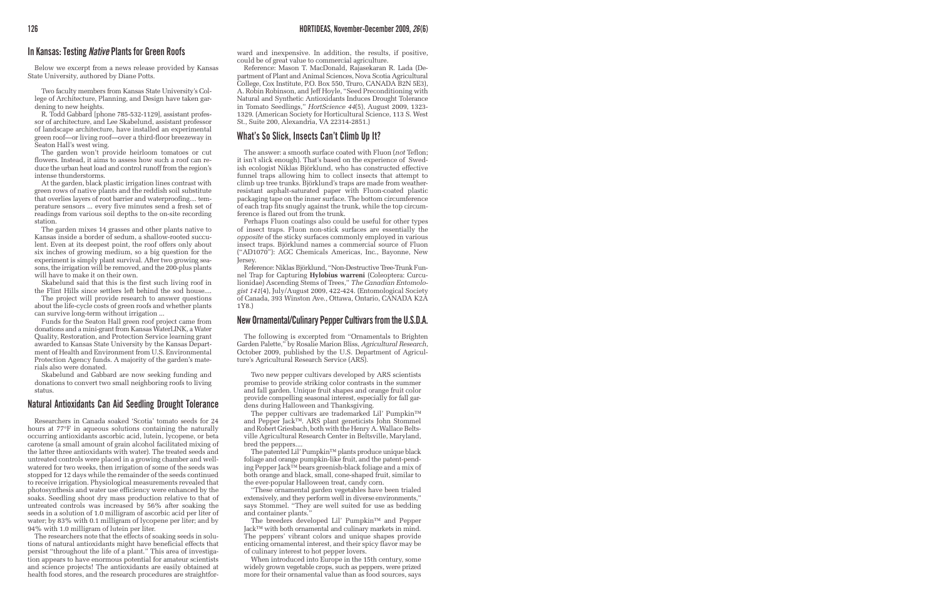### **In Kansas: Testing** *Native* **Plants for Green Roofs**

Below we excerpt from a news release provided by Kansas State University, authored by Diane Potts.

Two faculty members from Kansas State University's College of Architecture, Planning, and Design have taken gardening to new heights.

R. Todd Gabbard [phone 785-532-1129], assistant professor of architecture, and Lee Skabelund, assistant professor of landscape architecture, have installed an experimental green roof—or living roof—over a third-floor breezeway in Seaton Hall's west wing.

The garden won't provide heirloom tomatoes or cut flowers. Instead, it aims to assess how such a roof can reduce the urban heat load and control runoff from the region's intense thunderstorms.

At the garden, black plastic irrigation lines contrast with green rows of native plants and the reddish soil substitute that overlies layers of root barrier and waterproofing.... temperature sensors ... every five minutes send a fresh set of readings from various soil depths to the on-site recording station.

The garden mixes 14 grasses and other plants native to Kansas inside a border of sedum, a shallow-rooted succulent. Even at its deepest point, the roof offers only about six inches of growing medium, so a big question for the experiment is simply plant survival. After two growing seasons, the irrigation will be removed, and the 200-plus plants will have to make it on their own.

Skabelund said that this is the first such living roof in the Flint Hills since settlers left behind the sod house....

The project will provide research to answer questions about the life-cycle costs of green roofs and whether plants can survive long-term without irrigation ...

Funds for the Seaton Hall green roof project came from donations and a mini-grant from Kansas WaterLINK, a Water Quality, Restoration, and Protection Service learning grant awarded to Kansas State University by the Kansas Department of Health and Environment from U.S. Environmental Protection Agency funds. A majority of the garden's materials also were donated.

Skabelund and Gabbard are now seeking funding and donations to convert two small neighboring roofs to living status.

### **Natural Antioxidants Can Aid Seedling Drought Tolerance**

Researchers in Canada soaked 'Scotia' tomato seeds for 24 hours at 77°F in aqueous solutions containing the naturally occurring antioxidants ascorbic acid, lutein, lycopene, or beta carotene (a small amount of grain alcohol facilitated mixing of the latter three antioxidants with water). The treated seeds and untreated controls were placed in a growing chamber and wellwatered for two weeks, then irrigation of some of the seeds was stopped for 12 days while the remainder of the seeds continued to receive irrigation. Physiological measurements revealed that photosynthesis and water use efficiency were enhanced by the soaks. Seedling shoot dry mass production relative to that of untreated controls was increased by 56% after soaking the seeds in a solution of 1.0 milligram of ascorbic acid per liter of water; by 83% with 0.1 milligram of lycopene per liter; and by 94% with 1.0 milligram of lutein per liter.

The researchers note that the effects of soaking seeds in solutions of natural antioxidants might have beneficial effects that persist "throughout the life of a plant." This area of investigation appears to have enormous potential for amateur scientists and science projects! The antioxidants are easily obtained at health food stores, and the research procedures are straightforward and inexpensive. In addition, the results, if positive, could be of great value to commercial agriculture.

Reference: Mason T. MacDonald, Rajasekaran R. Lada (Department of Plant and Animal Sciences, Nova Scotia Agricultural College, Cox Institute, P.O. Box 550, Truro, CANADA B2N 5E3), A. Robin Robinson, and Jeff Hoyle, "Seed Preconditioning with Natural and Synthetic Antioxidants Induces Drought Tolerance in Tomato Seedlings," *HortScience 44*(5), August 2009, 1323- 1329. (American Society for Horticultural Science, 113 S. West St., Suite 200, Alexandria, VA 22314-2851.)

## **What's So Slick, Insects Can't Climb Up It?**

The answer: a smooth surface coated with Fluon (*not* Teflon; it isn't slick enough). That's based on the experience of Swedish ecologist Niklas Björklund, who has constructed effective funnel traps allowing him to collect insects that attempt to climb up tree trunks. Björklund's traps are made from weatherresistant asphalt-saturated paper with Fluon-coated plastic packaging tape on the inner surface. The bottom circumference of each trap fits snugly against the trunk, while the top circumference is flared out from the trunk.

Perhaps Fluon coatings also could be useful for other types of insect traps. Fluon non-stick surfaces are essentially the *opposite* of the sticky surfaces commonly employed in various insect traps. Björklund names a commercial source of Fluon ("AD1070"): AGC Chemicals Americas, Inc., Bayonne, New Jersey.

Reference: Niklas Björklund, "Non-Destructive Tree-Trunk Funnel Trap for Capturing **Hylobius warreni** (Coleoptera: Curculionidae) Ascending Stems of Trees," *The Canadian Entomologist 141*(4), July/August 2009, 422-424. (Entomological Society of Canada, 393 Winston Ave., Ottawa, Ontario, CANADA K2A 1Y8.)

### **New Ornamental/Culinary Pepper Cultivars from the U.S.D.A.**

The following is excerpted from "Ornamentals to Brighten Garden Palette," by Rosalie Marion Bliss, *Agricultural Research*, October 2009, published by the U.S. Department of Agriculture's Agricultural Research Service (ARS).

Two new pepper cultivars developed by ARS scientists promise to provide striking color contrasts in the summer and fall garden. Unique fruit shapes and orange fruit color provide compelling seasonal interest, especially for fall gardens during Halloween and Thanksgiving.

The pepper cultivars are trademarked Lil' Pumpkin™ and Pepper Jack™. ARS plant geneticists John Stommel and Robert Griesbach, both with the Henry A. Wallace Beltsville Agricultural Research Center in Beltsville, Maryland, bred the peppers....

The patented Lil' Pumpkin™ plants produce unique black foliage and orange pumpkin-like fruit, and the patent-pending Pepper Jack™ bears greenish-black foliage and a mix of both orange and black, small, cone-shaped fruit, similar to the ever-popular Halloween treat, candy corn.

"These ornamental garden vegetables have been trialed extensively, and they perform well in diverse environments," says Stommel. "They are well suited for use as bedding and container plants."

The breeders developed Lil' Pumpkin™ and Pepper Jack™ with both ornamental and culinary markets in mind. The peppers' vibrant colors and unique shapes provide enticing ornamental interest, and their spicy flavor may be of culinary interest to hot pepper lovers.

When introduced into Europe in the 15th century, some widely grown vegetable crops, such as peppers, were prized more for their ornamental value than as food sources, says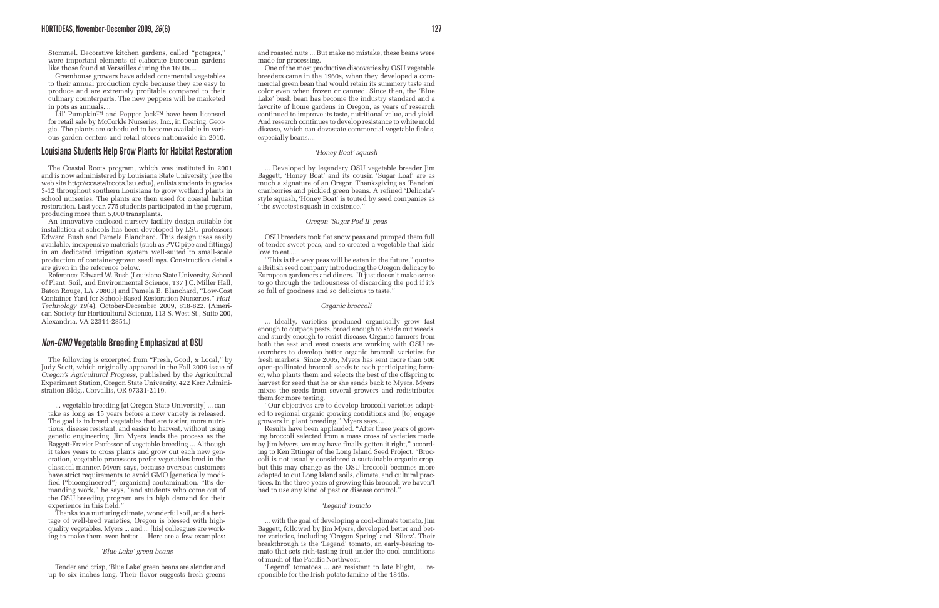Stommel. Decorative kitchen gardens, called "potagers," were important elements of elaborate European gardens like those found at Versailles during the 1600s....

Greenhouse growers have added ornamental vegetables to their annual production cycle because they are easy to produce and are extremely profitable compared to their culinary counterparts. The new peppers will be marketed in pots as annuals....

Lil' Pumpkin™ and Pepper Jack™ have been licensed for retail sale by McCorkle Nurseries, Inc., in Dearing, Georgia. The plants are scheduled to become available in various garden centers and retail stores nationwide in 2010.

### **Louisiana Students Help Grow Plants for Habitat Restoration**

The Coastal Roots program, which was instituted in 2001 and is now administered by Louisiana State University (see the web site http://coastalroots.lsu.edu/), enlists students in grades 3-12 throughout southern Louisiana to grow wetland plants in school nurseries. The plants are then used for coastal habitat restoration. Last year, 775 students participated in the program, producing more than 5,000 transplants.

An innovative enclosed nursery facility design suitable for installation at schools has been developed by LSU professors Edward Bush and Pamela Blanchard. This design uses easily available, inexpensive materials (such as PVC pipe and fittings) in an dedicated irrigation system well-suited to small-scale production of container-grown seedlings. Construction details are given in the reference below.

Reference: Edward W. Bush (Louisiana State University, School of Plant, Soil, and Environmental Science, 137 J.C. Miller Hall, Baton Rouge, LA 70803) and Pamela B. Blanchard, "Low-Cost Container Yard for School-Based Restoration Nurseries," *Hort-Technology 19*(4), October-December 2009, 818-822. (American Society for Horticultural Science, 113 S. West St., Suite 200, Alexandria, VA 22314-2851.)

## *Non-GMO* **Vegetable Breeding Emphasized at OSU**

The following is excerpted from "Fresh, Good, & Local," by Judy Scott, which originally appeared in the Fall 2009 issue of *Oregon's Agricultural Progress*, published by the Agricultural Experiment Station, Oregon State University, 422 Kerr Administration Bldg., Corvallis, OR 97331-2119.

... vegetable breeding [at Oregon State University] ... can take as long as 15 years before a new variety is released. The goal is to breed vegetables that are tastier, more nutritious, disease resistant, and easier to harvest, without using genetic engineering. Jim Myers leads the process as the Baggett-Frazier Professor of vegetable breeding ... Although it takes years to cross plants and grow out each new generation, vegetable processors prefer vegetables bred in the classical manner, Myers says, because overseas customers have strict requirements to avoid GMO [genetically modified ("bioengineered") organism] contamination. "It's demanding work," he says, "and students who come out of the OSU breeding program are in high demand for their experience in this field."

Thanks to a nurturing climate, wonderful soil, and a heritage of well-bred varieties, Oregon is blessed with highquality vegetables. Myers ... and ... [his] colleagues are working to make them even better ... Here are a few examples:

#### *'Blue Lake' green beans*

Tender and crisp, 'Blue Lake' green beans are slender and up to six inches long. Their flavor suggests fresh greens

One of the most productive discoveries by OSU vegetable breeders came in the 1960s, when they developed a commercial green bean that would retain its summery taste and color even when frozen or canned. Since then, the 'Blue Lake' bush bean has become the industry standard and a favorite of home gardens in Oregon, as years of research continued to improve its taste, nutritional value, and yield. And research continues to develop resistance to white mold disease, which can devastate commercial vegetable fields, especially beans....

#### *'Honey Boat' squash*

... Developed by legendary OSU vegetable breeder Jim Baggett, 'Honey Boat' and its cousin 'Sugar Loaf' are as much a signature of an Oregon Thanksgiving as 'Bandon' cranberries and pickled green beans. A refined 'Delicata' style squash, 'Honey Boat' is touted by seed companies as "the sweetest squash in existence."

#### *Oregon 'Sugar Pod II' peas*

OSU breeders took flat snow peas and pumped them full of tender sweet peas, and so created a vegetable that kids love to eat....

"This is the way peas will be eaten in the future," quotes a British seed company introducing the Oregon delicacy to European gardeners and diners. "It just doesn't make sense to go through the tediousness of discarding the pod if it's so full of goodness and so delicious to taste."

#### *Organic broccoli*

... Ideally, varieties produced organically grow fast enough to outpace pests, broad enough to shade out weeds, and sturdy enough to resist disease. Organic farmers from both the east and west coasts are working with OSU researchers to develop better organic broccoli varieties for fresh markets. Since 2005, Myers has sent more than 500 open-pollinated broccoli seeds to each participating farmer, who plants them and selects the best of the offspring to harvest for seed that he or she sends back to Myers. Myers mixes the seeds from several growers and redistributes them for more testing.

"Our objectives are to develop broccoli varieties adapted to regional organic growing conditions and [to] engage growers in plant breeding," Myers says....

Results have been applauded. "After three years of growing broccoli selected from a mass cross of varieties made by Jim Myers, we may have finally gotten it right," according to Ken Ettinger of the Long Island Seed Project. "Broccoli is not usually considered a sustainable organic crop, but this may change as the OSU broccoli becomes more adapted to out Long Island soils, climate, and cultural practices. In the three years of growing this broccoli we haven't had to use any kind of pest or disease control."

#### *'Legend' tomato*

... with the goal of developing a cool-climate tomato, Jim Baggett, followed by Jim Myers, developed better and better varieties, including 'Oregon Spring' and 'Siletz'. Their breakthrough is the 'Legend' tomato, an early-bearing tomato that sets rich-tasting fruit under the cool conditions of much of the Pacific Northwest.

'Legend' tomatoes ... are resistant to late blight, ... responsible for the Irish potato famine of the 1840s.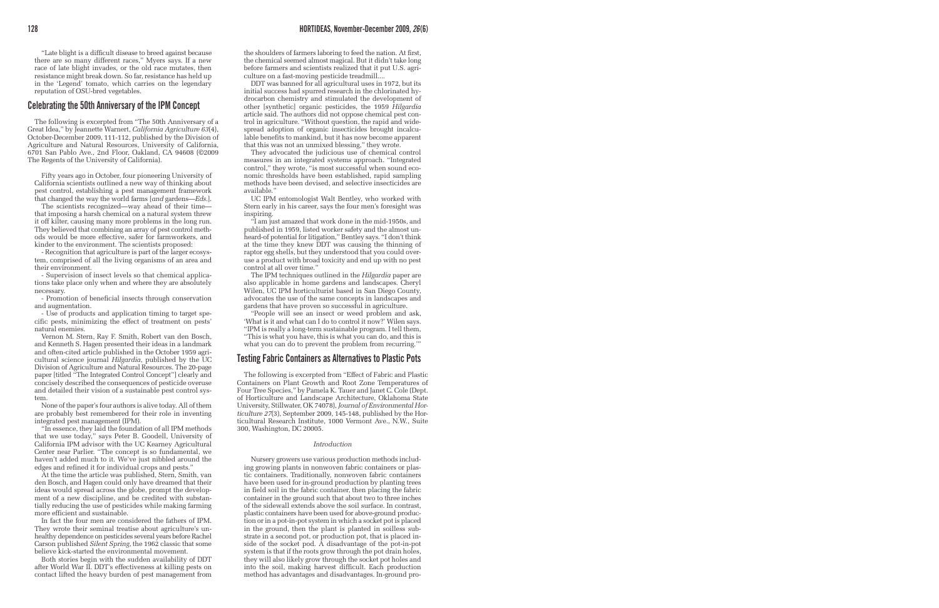"Late blight is a difficult disease to breed against because there are so many different races," Myers says. If a new race of late blight invades, or the old race mutates, then resistance might break down. So far, resistance has held up in the 'Legend' tomato, which carries on the legendary reputation of OSU-bred vegetables.

### **Celebrating the 50th Anniversary of the IPM Concept**

The following is excerpted from "The 50th Anniversary of a Great Idea," by Jeannette Warnert, *California Agriculture 63*(4), October-December 2009, 111-112, published by the Division of Agriculture and Natural Resources, University of California, 6701 San Pablo Ave., 2nd Floor, Oakland, CA 94608 (©2009 The Regents of the University of California).

Fifty years ago in October, four pioneering University of California scientists outlined a new way of thinking about pest control, establishing a pest management framework that changed the way the world farms [*and* gardens—*Eds.*].

The scientists recognized—way ahead of their time that imposing a harsh chemical on a natural system threw it off kilter, causing many more problems in the long run. They believed that combining an array of pest control methods would be more effective, safer for farmworkers, and kinder to the environment. The scientists proposed:

- Recognition that agriculture is part of the larger ecosystem, comprised of all the living organisms of an area and their environment.

- Supervision of insect levels so that chemical applications take place only when and where they are absolutely necessary.

- Promotion of beneficial insects through conservation and augmentation.

Use of products and application timing to target specific pests, minimizing the effect of treatment on pests' natural enemies.

Vernon M. Stern, Ray F. Smith, Robert van den Bosch, and Kenneth S. Hagen presented their ideas in a landmark and often-cited article published in the October 1959 agricultural science journal *Hilgardia*, published by the UC Division of Agriculture and Natural Resources. The 20-page paper [titled "The Integrated Control Concept"] clearly and concisely described the consequences of pesticide overuse and detailed their vision of a sustainable pest control system.

None of the paper's four authors is alive today. All of them are probably best remembered for their role in inventing integrated pest management (IPM).

"In essence, they laid the foundation of all IPM methods that we use today," says Peter B. Goodell, University of California IPM advisor with the UC Kearney Agricultural Center near Parlier. "The concept is so fundamental, we haven't added much to it. We've just nibbled around the edges and refined it for individual crops and pests."

At the time the article was published, Stern, Smith, van den Bosch, and Hagen could only have dreamed that their ideas would spread across the globe, prompt the development of a new discipline, and be credited with substantially reducing the use of pesticides while making farming more efficient and sustainable.

In fact the four men are considered the fathers of IPM. They wrote their seminal treatise about agriculture's unhealthy dependence on pesticides several years before Rachel Carson published *Silent Spring*, the 1962 classic that some believe kick-started the environmental movement.

Both stories begin with the sudden availability of DDT after World War II. DDT's effectiveness at killing pests on contact lifted the heavy burden of pest management from the shoulders of farmers laboring to feed the nation. At first, the chemical seemed almost magical. But it didn't take long before farmers and scientists realized that it put U.S. agriculture on a fast-moving pesticide treadmill....

DDT was banned for all agricultural uses in 1972, but its initial success had spurred research in the chlorinated hydrocarbon chemistry and stimulated the development of other [synthetic] organic pesticides, the 1959 *Hilgardia* article said. The authors did not oppose chemical pest control in agriculture. "Without question, the rapid and widespread adoption of organic insecticides brought incalculable benefits to mankind, but it has now become apparent that this was not an unmixed blessing," they wrote.

They advocated the judicious use of chemical control measures in an integrated systems approach. "Integrated control," they wrote, "is most successful when sound economic thresholds have been established, rapid sampling methods have been devised, and selective insecticides are available."

UC IPM entomologist Walt Bentley, who worked with Stern early in his career, says the four men's foresight was inspiring.

"I am just amazed that work done in the mid-1950s, and published in 1959, listed worker safety and the almost unheard-of potential for litigation," Bentley says. "I don't think at the time they knew DDT was causing the thinning of raptor egg shells, but they understood that you could overuse a product with broad toxicity and end up with no pest control at all over time."

The IPM techniques outlined in the *Hilgardia* paper are also applicable in home gardens and landscapes. Cheryl Wilen, UC IPM horticulturist based in San Diego County, advocates the use of the same concepts in landscapes and gardens that have proven so successful in agriculture.

"People will see an insect or weed problem and ask, 'What is it and what can I do to control it now?' Wilen says. "IPM is really a long-term sustainable program. I tell them, "This is what you have, this is what you can do, and this is what you can do to prevent the problem from recurring."

## **Testing Fabric Containers as Alternatives to Plastic Pots**

The following is excerpted from "Effect of Fabric and Plastic Containers on Plant Growth and Root Zone Temperatures of Four Tree Species," by Pamela K. Tauer and Janet C. Cole (Dept. of Horticulture and Landscape Architecture, Oklahoma State University, Stillwater, OK 74078), *Journal of Environmental Horticulture 27*(3), September 2009, 145-148, published by the Horticultural Research Institute, 1000 Vermont Ave., N.W., Suite 300, Washington, DC 20005.

#### *Introduction*

Nursery growers use various production methods including growing plants in nonwoven fabric containers or plastic containers. Traditionally, nonwoven fabric containers have been used for in-ground production by planting trees in field soil in the fabric container, then placing the fabric container in the ground such that about two to three inches of the sidewall extends above the soil surface. In contrast, plastic containers have been used for above-ground production or in a pot-in-pot system in which a socket pot is placed in the ground, then the plant is planted in soilless substrate in a second pot, or production pot, that is placed inside of the socket pod. A disadvantage of the pot-in-pot system is that if the roots grow through the pot drain holes, they will also likely grow through the socket pot holes and into the soil, making harvest difficult. Each production method has advantages and disadvantages. In-ground pro-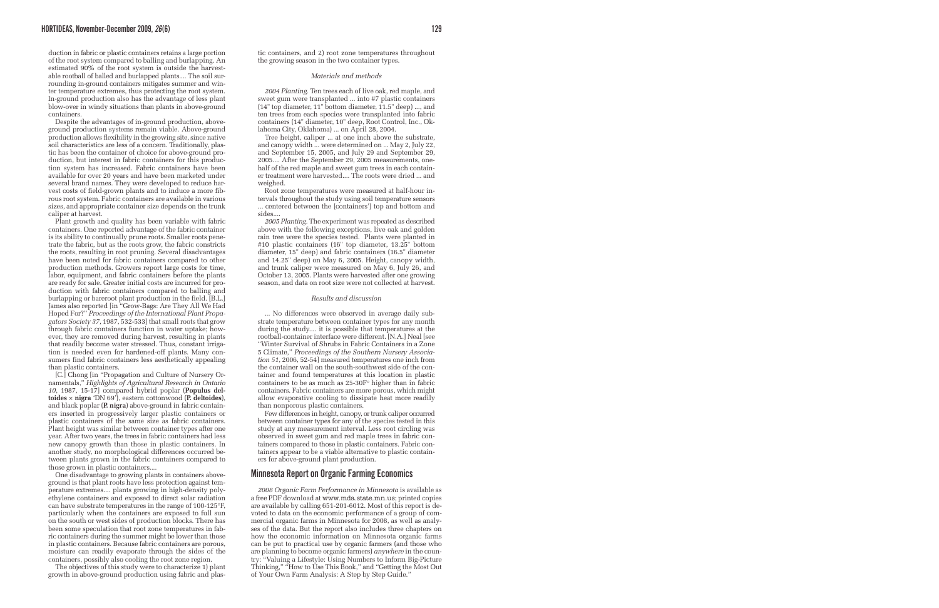duction in fabric or plastic containers retains a large portion of the root system compared to balling and burlapping. An estimated 90% of the root system is outside the harvestable rootball of balled and burlapped plants.... The soil surrounding in-ground containers mitigates summer and winter temperature extremes, thus protecting the root system. In-ground production also has the advantage of less plant blow-over in windy situations than plants in above-ground containers.

Despite the advantages of in-ground production, aboveground production systems remain viable. Above-ground production allows flexibility in the growing site, since native soil characteristics are less of a concern. Traditionally, plastic has been the container of choice for above-ground production, but interest in fabric containers for this production system has increased. Fabric containers have been available for over 20 years and have been marketed under several brand names. They were developed to reduce harvest costs of field-grown plants and to induce a more fibrous root system. Fabric containers are available in various sizes, and appropriate container size depends on the trunk caliper at harvest.

Plant growth and quality has been variable with fabric containers. One reported advantage of the fabric container is its ability to continually prune roots. Smaller roots penetrate the fabric, but as the roots grow, the fabric constricts the roots, resulting in root pruning. Several disadvantages have been noted for fabric containers compared to other production methods. Growers report large costs for time, labor, equipment, and fabric containers before the plants are ready for sale. Greater initial costs are incurred for production with fabric containers compared to balling and burlapping or bareroot plant production in the field. [B.L.] James also reported [in "Grow-Bags: Are They All We Had Hoped For?" *Proceedings of the International Plant Propagators Society 37*, 1987, 532-533] that small roots that grow through fabric containers function in water uptake; however, they are removed during harvest, resulting in plants that readily become water stressed. Thus, constant irrigation is needed even for hardened-off plants. Many consumers find fabric containers less aesthetically appealing than plastic containers.

[C.] Chong [in "Propagation and Culture of Nursery Ornamentals," *Highlights of Agricultural Research in Ontario 10*, 1987, 15-17] compared hybrid poplar (**Populus deltoides** × **nigra** 'DN 69'), eastern cottonwood (**P. deltoides**), and black poplar (**P. nigra**) above-ground in fabric containers inserted in progressively larger plastic containers or plastic containers of the same size as fabric containers. Plant height was similar between container types after one year. After two years, the trees in fabric containers had less new canopy growth than those in plastic containers. In another study, no morphological differences occurred between plants grown in the fabric containers compared to those grown in plastic containers....

One disadvantage to growing plants in containers aboveground is that plant roots have less protection against temperature extremes.... plants growing in high-density polyethylene containers and exposed to direct solar radiation can have substrate temperatures in the range of 100-125°F, particularly when the containers are exposed to full sun on the south or west sides of production blocks. There has been some speculation that root zone temperatures in fabric containers during the summer might be lower than those in plastic containers. Because fabric containers are porous, moisture can readily evaporate through the sides of the containers, possibly also cooling the root zone region.

The objectives of this study were to characterize 1) plant growth in above-ground production using fabric and plastic containers, and 2) root zone temperatures throughout the growing season in the two container types.

#### *Materials and methods*

*2004 Planting.* Ten trees each of live oak, red maple, and sweet gum were transplanted ... into #7 plastic containers (14" top diameter, 11" bottom diameter, 11.5" deep) ..., and ten trees from each species were transplanted into fabric containers (14" diameter, 10" deep, Root Control, Inc., Oklahoma City, Oklahoma) ... on April 28, 2004.

Tree height, caliper ... at one inch above the substrate, and canopy width ... were determined on ... May 2, July 22, and September 15, 2005, and July 29 and September 29, 2005.... After the September 29, 2005 measurements, onehalf of the red maple and sweet gum trees in each container treatment were harvested.... The roots were dried ... and weighed.

Root zone temperatures were measured at half-hour intervals throughout the study using soil temperature sensors ... centered between the [containers'] top and bottom and sides....

*2005 Planting.* The experiment was repeated as described above with the following exceptions, live oak and golden rain tree were the species tested. Plants were planted in #10 plastic containers (16" top diameter, 13.25" bottom diameter, 15" deep) and fabric containers (16.5" diameter and 14.25" deep) on May 6, 2005. Height, canopy width, and trunk caliper were measured on May 6, July 26, and October 13, 2005. Plants were harvested after one growing season, and data on root size were not collected at harvest.

#### *Results and discussion*

... No differences were observed in average daily substrate temperature between container types for any month during the study.... it is possible that temperatures at the rootball-container interface were different. [N.A.] Neal [see "Winter Survival of Shrubs in Fabric Containers in a Zone 5 Climate," *Proceedings of the Southern Nursery Association 51*, 2006, 52-54] measured temperatures one inch from the container wall on the south-southwest side of the container and found temperatures at this location in plastic containers to be as much as 25-30F° higher than in fabric containers. Fabric containers are more porous, which might allow evaporative cooling to dissipate heat more readily than nonporous plastic containers.

Few differences in height, canopy, or trunk caliper occurred between container types for any of the species tested in this study at any measurement interval. Less root circling was observed in sweet gum and red maple trees in fabric containers compared to those in plastic containers. Fabric containers appear to be a viable alternative to plastic containers for above-ground plant production.

### **Minnesota Report on Organic Farming Economics**

*2008 Organic Farm Performance in Minnesota* is available as a free PDF download at www.mda.state.mn.us; printed copies are available by calling 651-201-6012. Most of this report is devoted to data on the economic performance of a group of commercial organic farms in Minnesota for 2008, as well as analyses of the data. But the report also includes three chapters on how the economic information on Minnesota organic farms can be put to practical use by organic farmers (and those who are planning to become organic farmers) *anywhere* in the country: "Valuing a Lifestyle: Using Numbers to Inform Big-Picture Thinking," "How to Use This Book," and "Getting the Most Out of Your Own Farm Analysis: A Step by Step Guide."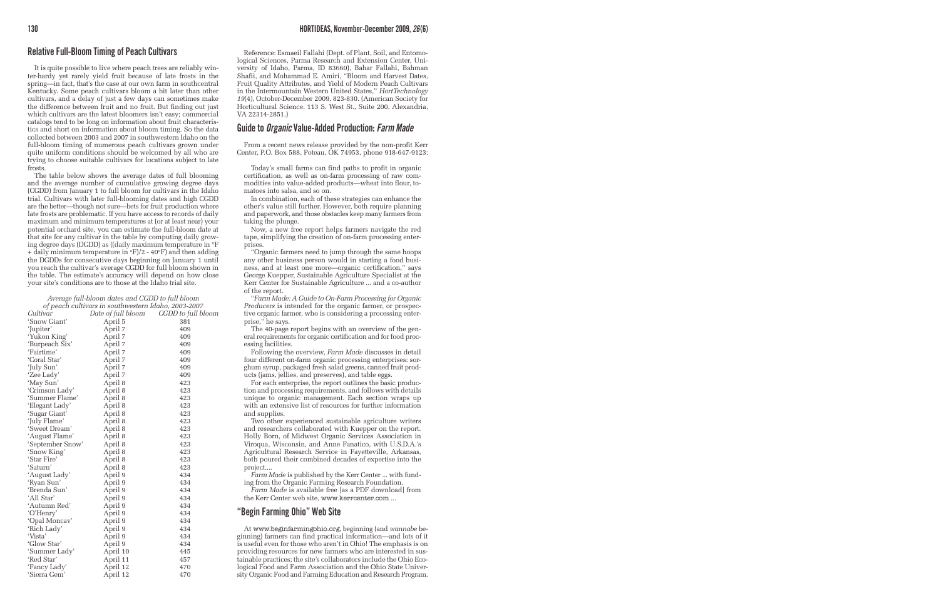## **Relative Full-Bloom Timing of Peach Cultivars**

It is quite possible to live where peach trees are reliably winter-hardy yet rarely yield fruit because of late frosts in the spring—in fact, that's the case at our own farm in southcentral Kentucky. Some peach cultivars bloom a bit later than other cultivars, and a delay of just a few days can sometimes make the difference between fruit and no fruit. But finding out just which cultivars are the latest bloomers isn't easy; commercial catalogs tend to be long on information about fruit characteristics and short on information about bloom timing. So the data collected between 2003 and 2007 in southwestern Idaho on the full-bloom timing of numerous peach cultivars grown under quite uniform conditions should be welcomed by all who are trying to choose suitable cultivars for locations subject to late frosts.

The table below shows the average dates of full blooming and the average number of cumulative growing degree days (CGDD) from January 1 to full bloom for cultivars in the Idaho trial. Cultivars with later full-blooming dates and high CGDD are the better—though not sure—bets for fruit production where late frosts are problematic. If you have access to records of daily maximum and minimum temperatures at (or at least near) your potential orchard site, you can estimate the full-bloom date at that site for any cultivar in the table by computing daily growing degree days (DGDD) as ((daily maximum temperature in °F + daily minimum temperature in °F)/2 - 40°F) and then adding the DGDDs for consecutive days beginning on January 1 until you reach the cultivar's average CGDD for full bloom shown in the table. The estimate's accuracy will depend on how close your site's conditions are to those at the Idaho trial site.

*Average full-bloom dates and CGDD to full bloom of peach cultivars in southwestern Idaho, 2003-2007*

|                  | of peach cannais in southwestern fauno, 2000-2007 |                    |
|------------------|---------------------------------------------------|--------------------|
| Cultivar         | Date of full bloom                                | CGDD to full bloom |
| 'Snow Giant'     | April 5                                           | 381                |
| 'Jupiter'        | April 7                                           | 409                |
| 'Yukon King'     | April 7                                           | 409                |
| 'Burpeach Six'   | April 7                                           | 409                |
| 'Fairtime'       | April 7                                           | 409                |
| 'Coral Star'     | April 7                                           | 409                |
| 'July Sun'       | April 7                                           | 409                |
| 'Zee Lady'       | April 7                                           | 409                |
| 'May Sun'        | April 8                                           | 423                |
| 'Crimson Lady'   | April 8                                           | 423                |
| 'Summer Flame'   | April 8                                           | 423                |
| 'Elegant Lady'   | April 8                                           | 423                |
| 'Sugar Giant'    | April 8                                           | 423                |
| 'July Flame'     | April 8                                           | 423                |
| 'Sweet Dream'    | April 8                                           | 423                |
| 'August Flame'   | April 8                                           | 423                |
| 'September Snow' | April 8                                           | 423                |
| 'Snow King'      | April 8                                           | 423                |
| 'Star Fire'      | April 8                                           | 423                |
| 'Saturn'         | April 8                                           | 423                |
| 'August Lady'    | April 9                                           | 434                |
| 'Ryan Sun'       | April 9                                           | 434                |
| 'Brenda Sun'     | April 9                                           | 434                |
| 'All Star'       | April 9                                           | 434                |
| 'Autumn Red'     | April 9                                           | 434                |
| 'O'Henry'        | April 9                                           | 434                |
| 'Opal Moncav'    | April 9                                           | 434                |
| 'Rich Lady'      | April 9                                           | 434                |
| 'Vista'          | April 9                                           | 434                |
| 'Glow Star'      | April 9                                           | 434                |
| 'Summer Lady'    | April 10                                          | 445                |
| 'Red Star'       | April 11                                          | 457                |
| 'Fancy Lady'     | April 12                                          | 470                |
| 'Sierra Gem'     | April 12                                          | 470                |
|                  |                                                   |                    |

Reference: Esmaeil Fallahi (Dept. of Plant, Soil, and Entomological Sciences, Parma Research and Extension Center, University of Idaho, Parma, ID 83660), Bahar Fallahi, Bahman Shafii, and Mohammad E. Amiri, "Bloom and Harvest Dates, Fruit Quality Attributes, and Yield of Modern Peach Cultivars in the Intermountain Western United States," *HortTechnology 19*(4), October-December 2009, 823-830. (American Society for Horticultural Science, 113 S. West St., Suite 200, Alexandria, VA 22314-2851.)

### **Guide to** *Organic* **Value-Added Production:** *Farm Made*

From a recent news release provided by the non-profit Kerr Center, P.O. Box 588, Poteau, OK 74953, phone 918-647-9123:

Today's small farms can find paths to profit in organic certification, as well as on-farm processing of raw commodities into value-added products—wheat into flour, tomatoes into salsa, and so on.

In combination, each of these strategies can enhance the other's value still further. However, both require planning and paperwork, and those obstacles keep many farmers from taking the plunge.

Now, a new free report helps farmers navigate the red tape, simplifying the creation of on-farm processing enterprises.

"Organic farmers need to jump through the same hoops any other business person would in starting a food business, and at least one more—organic certification," says George Kuepper, Sustainable Agriculture Specialist at the Kerr Center for Sustainable Agriculture ... and a co-author of the report.

"*Farm Made: A Guide to On-Farm Processing for Organic Producers* is intended for the organic farmer, or prospective organic farmer, who is considering a processing enterprise," he says.

The 40-page report begins with an overview of the general requirements for organic certification and for food processing facilities.

Following the overview, *Farm Made* discusses in detail four different on-farm organic processing enterprises: sorghum syrup, packaged fresh salad greens, canned fruit products (jams, jellies, and preserves), and table eggs.

For each enterprise, the report outlines the basic production and processing requirements, and follows with details unique to organic management. Each section wraps up with an extensive list of resources for further information and supplies.

Two other experienced sustainable agriculture writers and researchers collaborated with Kuepper on the report. Holly Born, of Midwest Organic Services Association in Viroqua, Wisconsin, and Anne Fanatico, with U.S.D.A.'s Agricultural Research Service in Fayetteville, Arkansas, both poured their combined decades of expertise into the project....

*Farm Made* is published by the Kerr Center ... with funding from the Organic Farming Research Foundation.

*Farm Made* is available free [as a PDF download] from the Kerr Center web site, www.kerrcenter.com ...

## **"Begin Farming Ohio" Web Site**

At www.beginfarmingohio.org, beginning (and *wannabe* beginning) farmers can find practical information—and lots of it is useful even for those who aren't in Ohio! The emphasis is on providing resources for new farmers who are interested in sustainable practices; the site's collaborators include the Ohio Ecological Food and Farm Association and the Ohio State University Organic Food and Farming Education and Research Program.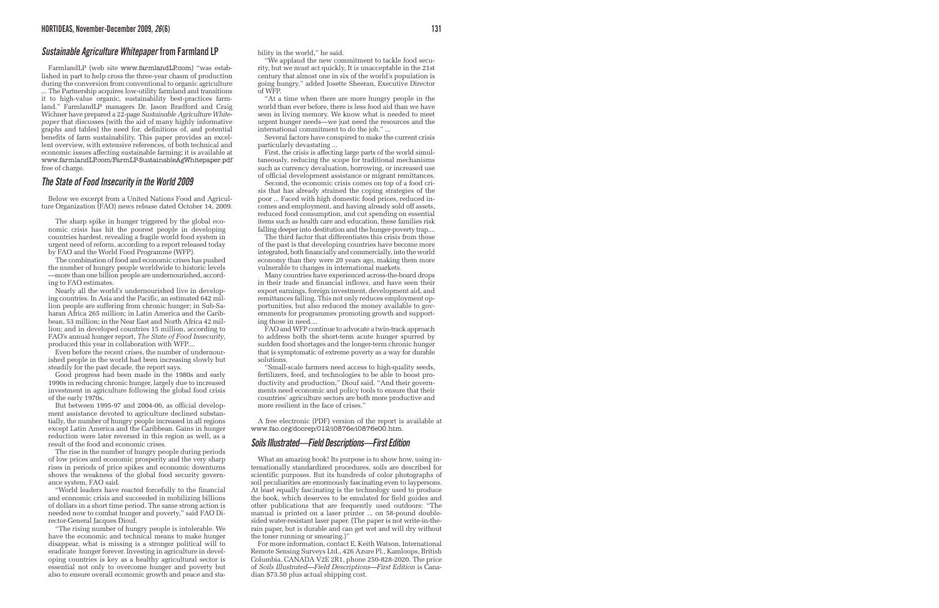### *Sustainable Agriculture Whitepaper* **from Farmland LP**

FarmlandLP (web site www.farmlandLP.com) "was established in part to help cross the three-year chasm of production during the conversion from conventional to organic agriculture ... The Partnership acquires low-utility farmland and transitions it to high-value organic, sustainability best-practices farmland." FarmlandLP managers Dr. Jason Bradford and Craig Wichner have prepared a 22-page *Sustainable Agriculture Whitepaper* that discusses (with the aid of many highly informative graphs and tables) the need for, definitions of, and potential benefits of farm sustainability. This paper provides an excellent overview, with extensive references, of both technical and economic issues affecting sustainable farming; it is available at www.farmlandLP.com/FarmLP-SustainableAgWhitepaper.pdf free of charge.

### *The State of Food Insecurity in the World 2009*

Below we excerpt from a United Nations Food and Agriculture Organization (FAO) news release dated October 14, 2009.

The sharp spike in hunger triggered by the global economic crisis has hit the poorest people in developing countries hardest, revealing a fragile world food system in urgent need of reform, according to a report released today by FAO and the World Food Programme (WFP).

The combination of food and economic crises has pushed the number of hungry people worldwide to historic levels —more than one billion people are undernourished, according to FAO estimates.

Nearly all the world's undernourished live in developing countries. In Asia and the Pacific, an estimated 642 million people are suffering from chronic hunger; in Sub-Saharan Africa 265 million; in Latin America and the Caribbean, 53 million; in the Near East and North Africa 42 million; and in developed countries 15 million, according to FAO's annual hunger report, *The State of Food Insecurity*, produced this year in collaboration with WFP....

Even before the recent crises, the number of undernourished people in the world had been increasing slowly but steadily for the past decade, the report says.

Good progress had been made in the 1980s and early 1990s in reducing chronic hunger, largely due to increased investment in agriculture following the global food crisis of the early 1970s.

But between 1995-97 and 2004-06, as official development assistance devoted to agriculture declined substantially, the number of hungry people increased in all regions except Latin America and the Caribbean. Gains in hunger reduction were later reversed in this region as well, as a result of the food and economic crises.

The rise in the number of hungry people during periods of low prices and economic prosperity and the very sharp rises in periods of price spikes and economic downturns shows the weakness of the global food security governance system, FAO said.

"World leaders have reacted forcefully to the financial and economic crisis and succeeded in mobilizing billions of dollars in a short time period. The same strong action is needed now to combat hunger and poverty," said FAO Director-General Jacques Diouf.

"The rising number of hungry people is intolerable. We have the economic and technical means to make hunger disappear, what is missing is a stronger political will to eradicate hunger forever. Investing in agriculture in developing countries is key as a healthy agricultural sector is essential not only to overcome hunger and poverty but also to ensure overall economic growth and peace and stability in the world," he said.

"We applaud the new commitment to tackle food security, but we must act quickly, It is unacceptable in the 21st century that almost one in six of the world's population is going hungry," added Josette Sheeran, Executive Director of WFP.

"At a time when there are more hungry people in the world than ever before, there is less food aid than we have seen in living memory. We know what is needed to meet urgent hunger needs—we just need the resources and the international commitment to do the job." ...

Several factors have conspired to make the current crisis particularly devastating ...

First, the crisis is affecting large parts of the world simultaneously, reducing the scope for traditional mechanisms such as currency devaluation, borrowing, or increased use of official development assistance or migrant remittances.

Second, the economic crisis comes on top of a food crisis that has already strained the coping strategies of the poor ... Faced with high domestic food prices, reduced incomes and employment, and having already sold off assets, reduced food consumption, and cut spending on essential items such as health care and education, these families risk falling deeper into destitution and the hunger-poverty trap....

The third factor that differentiates this crisis from those of the past is that developing countries have become more integrated, both financially and commercially, into the world economy than they were 20 years ago, making them more vulnerable to changes in international markets.

Many countries have experienced across-the-board drops in their trade and financial inflows, and have seen their export earnings, foreign investment, development aid, and remittances falling. This not only reduces employment opportunities, but also reduced the money available to governments for programmes promoting growth and supporting those in need....

FAO and WFP continue to advocate a twin-track approach to address both the short-term acute hunger spurred by sudden food shortages and the longer-term chronic hunger that is symptomatic of extreme poverty as a way for durable solutions.

"Small-scale farmers need access to high-quality seeds, fertilizers, feed, and technologies to be able to boost productivity and production," Diouf said. "And their governments need economic and policy tools to ensure that their countries' agriculture sectors are both more productive and more resilient in the face of crises."

A free electronic (PDF) version of the report is available at www.fao.org/docrep/012/i0876e/i0876e00.htm.

### *Soils Illustrated—Field Descriptions—First Edition*

What an amazing book! Its purpose is to show how, using internationally standardized procedures, soils are described for scientific purposes. But its hundreds of color photographs of soil peculiarities are enormously fascinating even to laypersons. At least equally fascinating is the technology used to produce the book, which deserves to be emulated for field guides and other publications that are frequently used outdoors: "The manual is printed on a laser printer ... on 58-pound doublesided water-resistant laser paper. (The paper is not write-in-therain paper, but is durable and can get wet and will dry without the toner running or smearing.)"

For more information, contact E. Keith Watson, International Remote Sensing Surveys Ltd., 426 Azure Pl., Kamloops, British Columbia, CANADA V2E 2R1, phone 250-828-2020. The price of *Soils Illustrated—Field Descriptions—First Edition* is Canadian \$73.50 plus actual shipping cost.